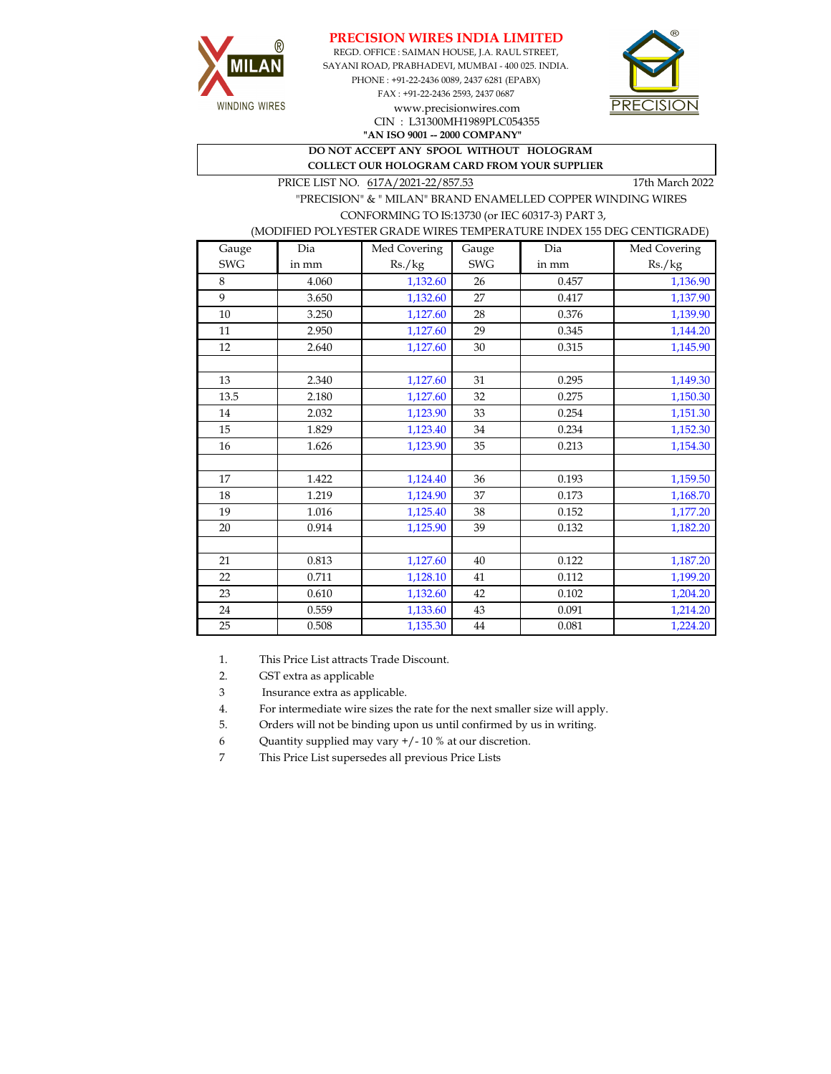



REGD. OFFICE : SAIMAN HOUSE, J.A. RAUL STREET, SAYANI ROAD, PRABHADEVI, MUMBAI - 400 025. INDIA. PHONE : +91-22-2436 0089, 2437 6281 (EPABX) FAX : +91-22-2436 2593, 2437 0687 www.precisionwires.com CIN : L31300MH1989PLC054355



**"AN ISO 9001 -- 2000 COMPANY" DO NOT ACCEPT ANY SPOOL WITHOUT HOLOGRAM** 

 **COLLECT OUR HOLOGRAM CARD FROM YOUR SUPPLIER** 

PRICE LIST NO.  $617A/2021-22/857.53$  17th March 2022

 "PRECISION" & " MILAN" BRAND ENAMELLED COPPER WINDING WIRES CONFORMING TO IS:13730 (or IEC 60317-3) PART 3,

## (MODIFIED POLYESTER GRADE WIRES TEMPERATURE INDEX 155 DEG CENTIGRADE)

| Gauge      | Dia   | Med Covering | Gauge      | Dia   | Med Covering |
|------------|-------|--------------|------------|-------|--------------|
| <b>SWG</b> | in mm | Rs./kg       | <b>SWG</b> | in mm | Rs./kg       |
| 8          | 4.060 | 1,132.60     | 26         | 0.457 | 1,136.90     |
| 9          | 3.650 | 1,132.60     | 27         | 0.417 | 1,137.90     |
| 10         | 3.250 | 1,127.60     | 28         | 0.376 | 1,139.90     |
| 11         | 2.950 | 1,127.60     | 29         | 0.345 | 1,144.20     |
| 12         | 2.640 | 1,127.60     | 30         | 0.315 | 1,145.90     |
|            |       |              |            |       |              |
| 13         | 2.340 | 1,127.60     | 31         | 0.295 | 1,149.30     |
| 13.5       | 2.180 | 1,127.60     | 32         | 0.275 | 1,150.30     |
| 14         | 2.032 | 1,123.90     | 33         | 0.254 | 1,151.30     |
| 15         | 1.829 | 1,123.40     | 34         | 0.234 | 1,152.30     |
| 16         | 1.626 | 1,123.90     | 35         | 0.213 | 1,154.30     |
|            |       |              |            |       |              |
| 17         | 1.422 | 1,124.40     | 36         | 0.193 | 1,159.50     |
| 18         | 1.219 | 1,124.90     | 37         | 0.173 | 1,168.70     |
| 19         | 1.016 | 1,125.40     | 38         | 0.152 | 1,177.20     |
| 20         | 0.914 | 1,125.90     | 39         | 0.132 | 1,182.20     |
|            |       |              |            |       |              |
| 21         | 0.813 | 1,127.60     | 40         | 0.122 | 1,187.20     |
| 22         | 0.711 | 1,128.10     | 41         | 0.112 | 1,199.20     |
| 23         | 0.610 | 1,132.60     | 42         | 0.102 | 1,204.20     |
| 24         | 0.559 | 1,133.60     | 43         | 0.091 | 1,214.20     |
| 25         | 0.508 | 1,135.30     | 44         | 0.081 | 1,224.20     |

1. This Price List attracts Trade Discount.

2. GST extra as applicable

3 Insurance extra as applicable.

4. For intermediate wire sizes the rate for the next smaller size will apply.

5. Orders will not be binding upon us until confirmed by us in writing.

6 Quantity supplied may vary +/- 10 % at our discretion.

7 This Price List supersedes all previous Price Lists